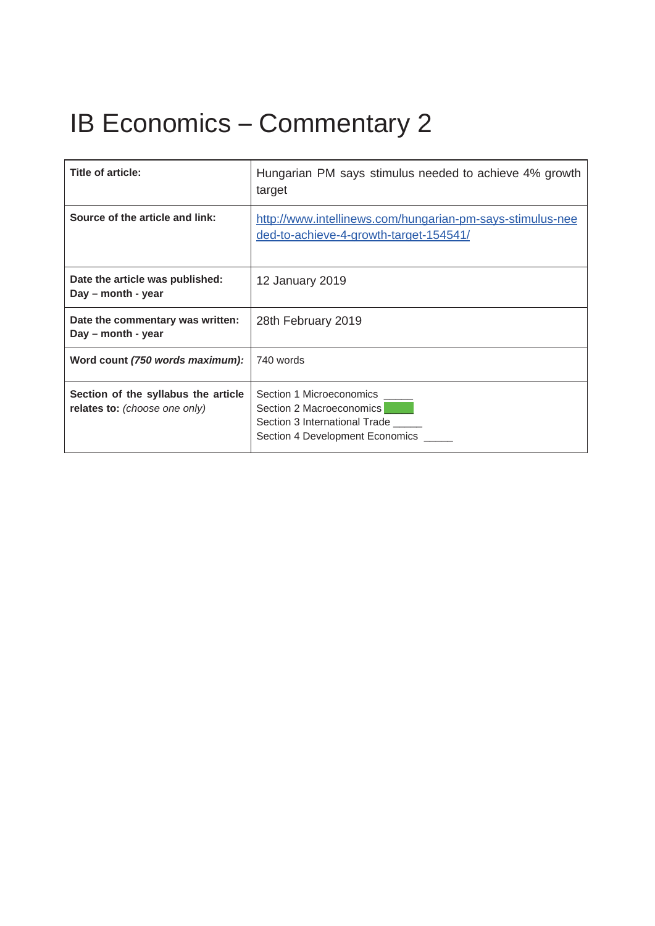## IB Economics – Commentary 2

| Title of article:                                                    | Hungarian PM says stimulus needed to achieve 4% growth<br>target                                                             |
|----------------------------------------------------------------------|------------------------------------------------------------------------------------------------------------------------------|
| Source of the article and link:                                      | http://www.intellinews.com/hungarian-pm-says-stimulus-nee<br>ded-to-achieve-4-growth-target-154541/                          |
| Date the article was published:<br>Day – month - year                | 12 January 2019                                                                                                              |
| Date the commentary was written:<br>Day – month - year               | 28th February 2019                                                                                                           |
| Word count (750 words maximum):                                      | 740 words                                                                                                                    |
| Section of the syllabus the article<br>relates to: (choose one only) | Section 1 Microeconomics<br>Section 2 Macroeconomics<br>Section 3 International Trade<br>Section 4 Development Economics ___ |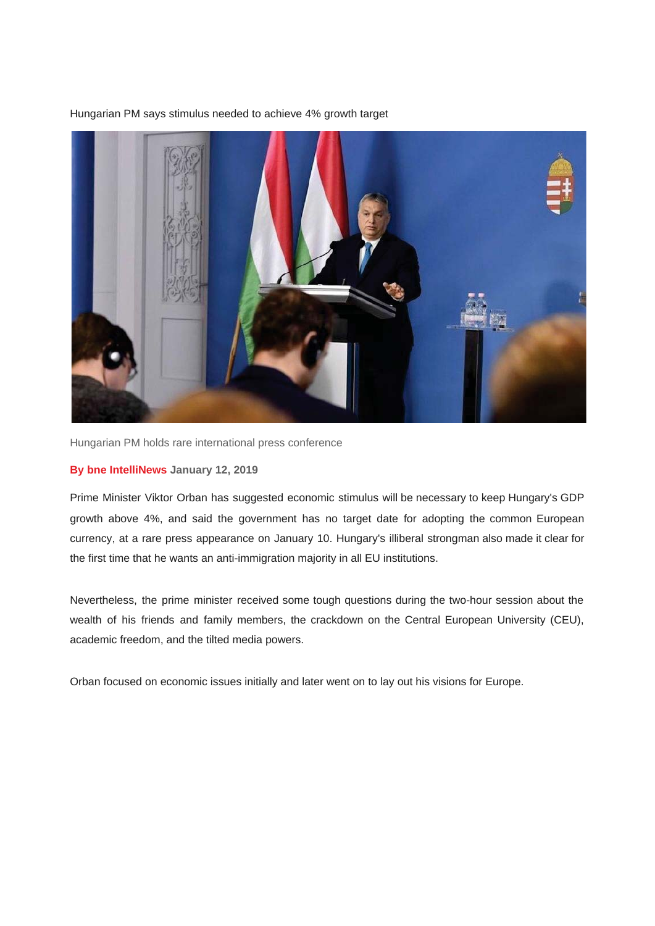Hungarian PM says stimulus needed to achieve 4% growth target



Hungarian PM holds rare international press conference

## **By bne IntelliNews January 12, 2019**

Prime Minister Viktor Orban has suggested economic stimulus will be necessary to keep Hungary's GDP growth above 4%, and said the government has no target date for adopting the common European currency, at a rare press appearance on January 10. Hungary's illiberal strongman also made it clear for the first time that he wants an anti-immigration majority in all EU institutions.

Nevertheless, the prime minister received some tough questions during the two-hour session about the wealth of his friends and family members, the crackdown on the Central European University (CEU), academic freedom, and the tilted media powers.

Orban focused on economic issues initially and later went on to lay out his visions for Europe.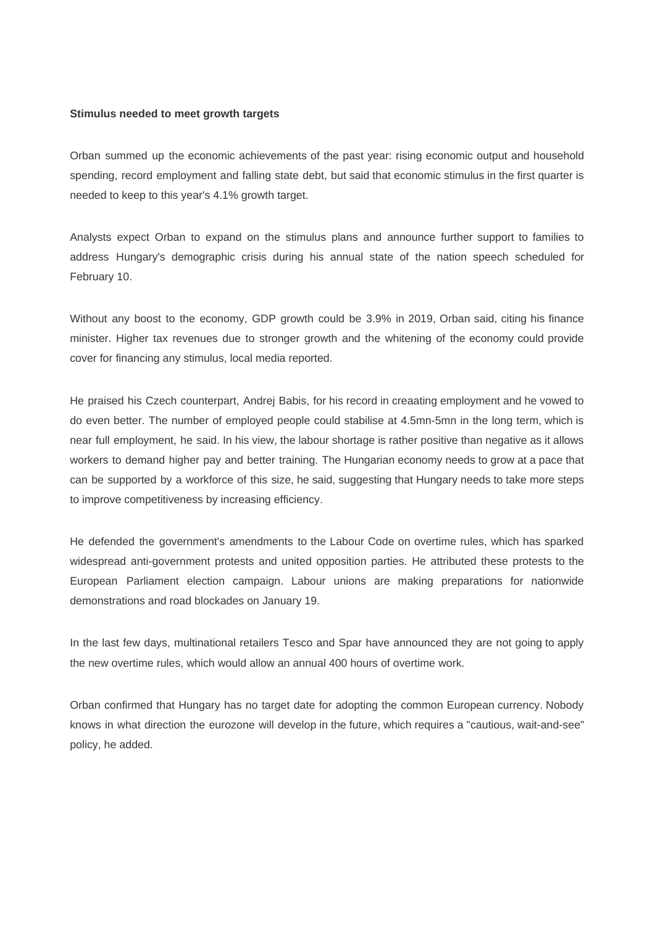## **Stimulus needed to meet growth targets**

Orban summed up the economic achievements of the past year: rising economic output and household spending, record employment and falling state debt, but said that economic stimulus in the first quarter is needed to keep to this year's 4.1% growth target.

Analysts expect Orban to expand on the stimulus plans and announce further support to families to address Hungary's demographic crisis during his annual state of the nation speech scheduled for February 10.

Without any boost to the economy, GDP growth could be 3.9% in 2019, Orban said, citing his finance minister. Higher tax revenues due to stronger growth and the whitening of the economy could provide cover for financing any stimulus, local media reported.

He praised his Czech counterpart, Andrej Babis, for his record in creaating employment and he vowed to do even better. The number of employed people could stabilise at 4.5mn-5mn in the long term, which is near full employment, he said. In his view, the labour shortage is rather positive than negative as it allows workers to demand higher pay and better training. The Hungarian economy needs to grow at a pace that can be supported by a workforce of this size, he said, suggesting that Hungary needs to take more steps to improve competitiveness by increasing efficiency.

He defended the government's amendments to the Labour Code on overtime rules, which has sparked widespread anti-government protests and united opposition parties. He attributed these protests to the European Parliament election campaign. Labour unions are making preparations for nationwide demonstrations and road blockades on January 19.

In the last few days, multinational retailers Tesco and Spar have announced they are not going to apply the new overtime rules, which would allow an annual 400 hours of overtime work.

Orban confirmed that Hungary has no target date for adopting the common European currency. Nobody knows in what direction the eurozone will develop in the future, which requires a "cautious, wait-and-see" policy, he added.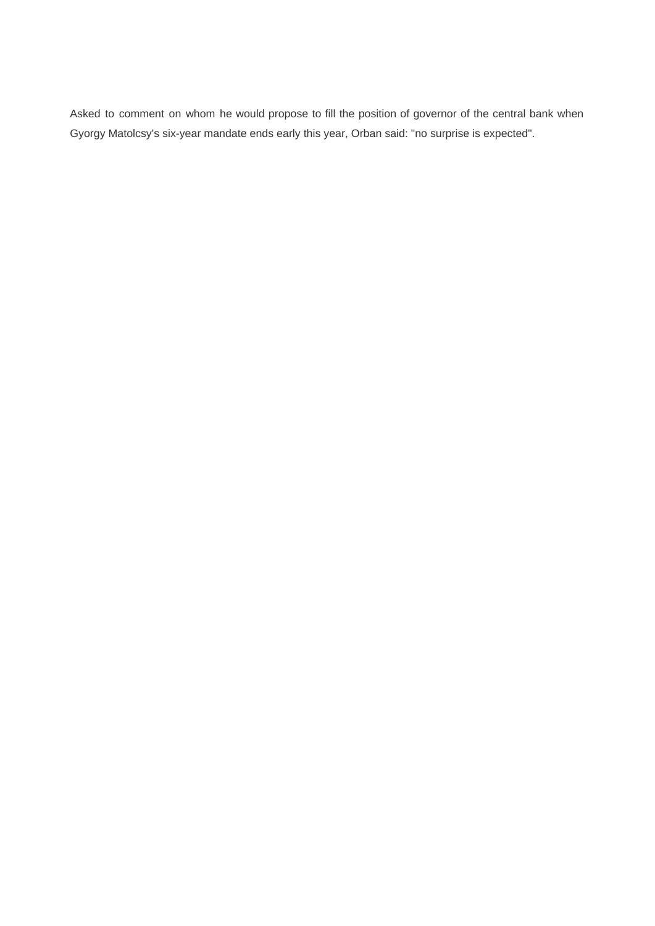Asked to comment on whom he would propose to fill the position of governor of the central bank when Gyorgy Matolcsy's six-year mandate ends early this year, Orban said: "no surprise is expected".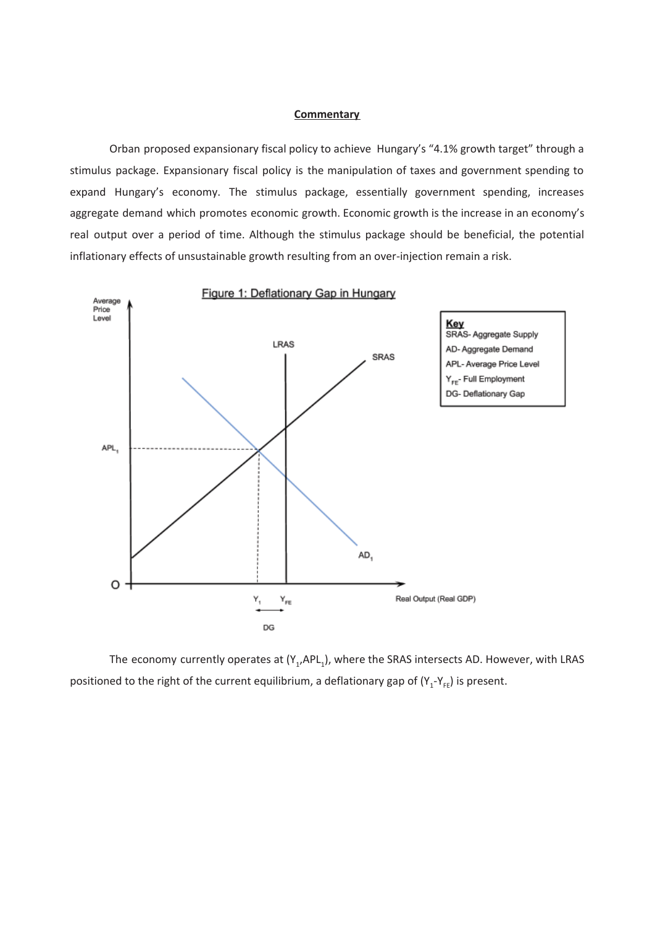## **Commentary**

Orban proposed expansionary fiscal policy to achieve Hungary's "4.1% growth target" through a stimulus package. Expansionary fiscal policy is the manipulation of taxes and government spending to expand Hungary's economy. The stimulus package, essentially government spending, increases aggregate demand which promotes economic growth. Economic growth is the increase in an economy's real output over a period of time. Although the stimulus package should be beneficial, the potential inflationary effects of unsustainable growth resulting from an over-injection remain a risk.



The economy currently operates at  $(Y_1, APL_1)$ , where the SRAS intersects AD. However, with LRAS positioned to the right of the current equilibrium, a deflationary gap of  $(Y_1-Y_{FE})$  is present.